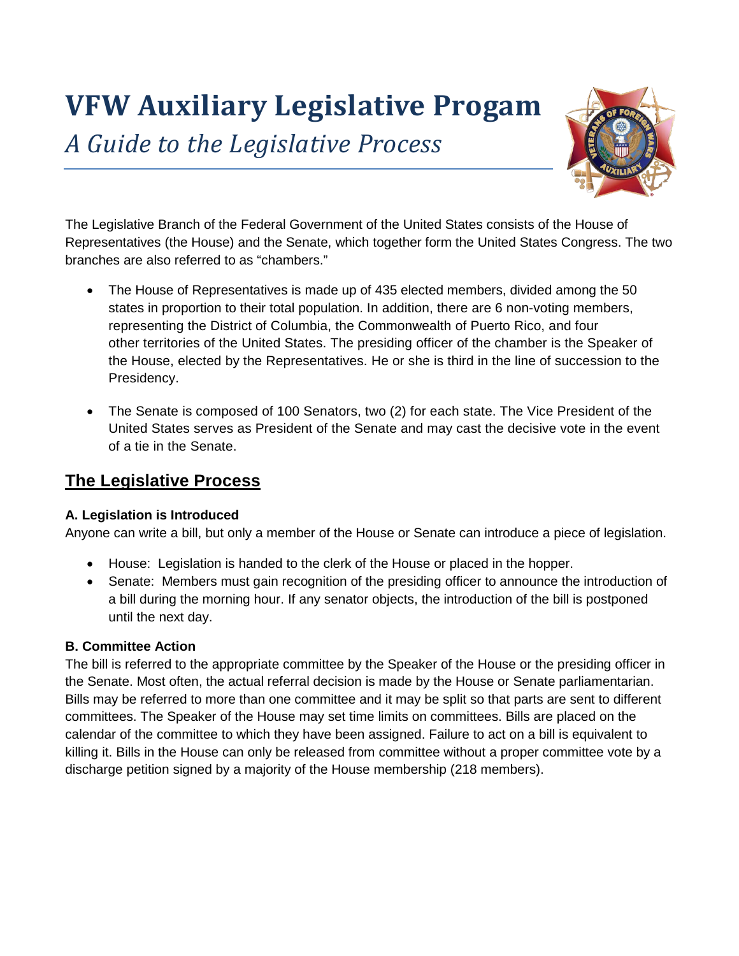# **VFW Auxiliary Legislative Progam**

*A Guide to the Legislative Process*



The Legislative Branch of the Federal Government of the United States consists of the House of Representatives (the House) and the Senate, which together form the United States Congress. The two branches are also referred to as "chambers."

- The House of Representatives is made up of 435 elected members, divided among the 50 states in proportion to their total population. In addition, there are 6 non-voting members, representing the District of Columbia, the Commonwealth of Puerto Rico, and four other territories of the United States. The presiding officer of the chamber is the Speaker of the House, elected by the Representatives. He or she is third in the line of succession to the Presidency.
- The Senate is composed of 100 Senators, two (2) for each state. The Vice President of the United States serves as President of the Senate and may cast the decisive vote in the event of a tie in the Senate.

# **The Legislative Process**

## **A. Legislation is Introduced**

Anyone can write a bill, but only a member of the House or Senate can introduce a piece of legislation.

- House: Legislation is handed to the clerk of the House or placed in the hopper.
- Senate: Members must gain recognition of the presiding officer to announce the introduction of a bill during the morning hour. If any senator objects, the introduction of the bill is postponed until the next day.

## **B. Committee Action**

The bill is referred to the appropriate committee by the Speaker of the House or the presiding officer in the Senate. Most often, the actual referral decision is made by the House or Senate parliamentarian. Bills may be referred to more than one committee and it may be split so that parts are sent to different committees. The Speaker of the House may set time limits on committees. Bills are placed on the calendar of the committee to which they have been assigned. Failure to act on a bill is equivalent to killing it. Bills in the House can only be released from committee without a proper committee vote by a discharge petition signed by a majority of the House membership (218 members).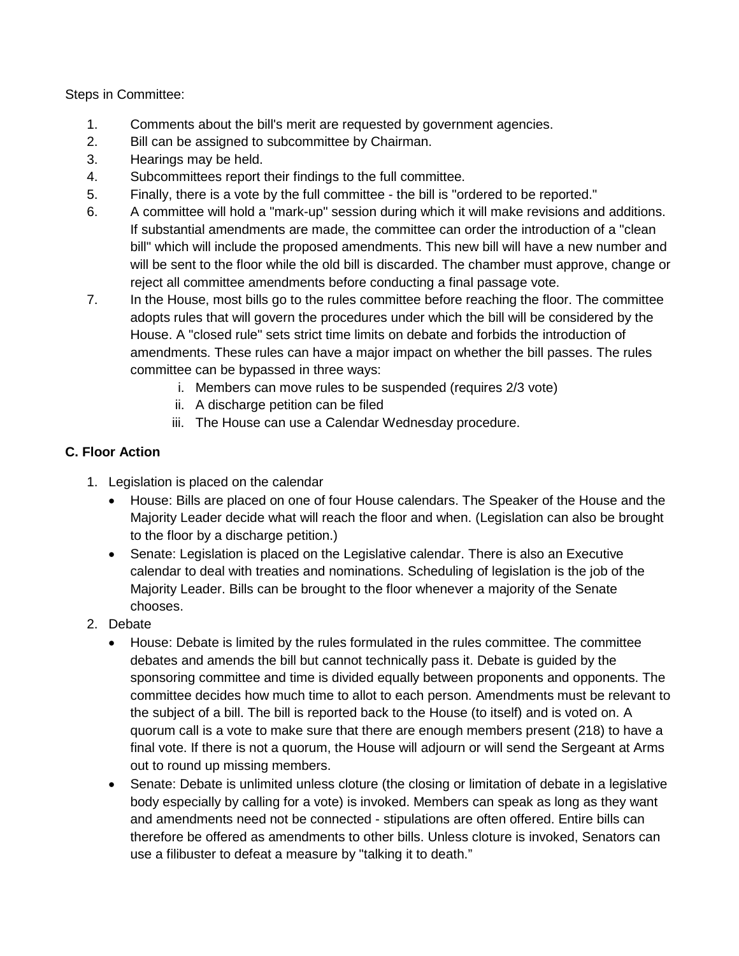Steps in Committee:

- 1. Comments about the bill's merit are requested by government agencies.
- 2. Bill can be assigned to subcommittee by Chairman.
- 3. Hearings may be held.
- 4. Subcommittees report their findings to the full committee.
- 5. Finally, there is a vote by the full committee the bill is "ordered to be reported."
- 6. A committee will hold a "mark-up" session during which it will make revisions and additions. If substantial amendments are made, the committee can order the introduction of a "clean bill" which will include the proposed amendments. This new bill will have a new number and will be sent to the floor while the old bill is discarded. The chamber must approve, change or reject all committee amendments before conducting a final passage vote.
- 7. In the House, most bills go to the rules committee before reaching the floor. The committee adopts rules that will govern the procedures under which the bill will be considered by the House. A "closed rule" sets strict time limits on debate and forbids the introduction of amendments. These rules can have a major impact on whether the bill passes. The rules committee can be bypassed in three ways:
	- i. Members can move rules to be suspended (requires 2/3 vote)
	- ii. A discharge petition can be filed
	- iii. The House can use a Calendar Wednesday procedure.

#### **C. Floor Action**

- 1. Legislation is placed on the calendar
	- House: Bills are placed on one of four House calendars. The Speaker of the House and the Majority Leader decide what will reach the floor and when. (Legislation can also be brought to the floor by a discharge petition.)
	- Senate: Legislation is placed on the Legislative calendar. There is also an Executive calendar to deal with treaties and nominations. Scheduling of legislation is the job of the Majority Leader. Bills can be brought to the floor whenever a majority of the Senate chooses.
- 2. Debate
	- House: Debate is limited by the rules formulated in the rules committee. The committee debates and amends the bill but cannot technically pass it. Debate is guided by the sponsoring committee and time is divided equally between proponents and opponents. The committee decides how much time to allot to each person. Amendments must be relevant to the subject of a bill. The bill is reported back to the House (to itself) and is voted on. A quorum call is a vote to make sure that there are enough members present (218) to have a final vote. If there is not a quorum, the House will adjourn or will send the Sergeant at Arms out to round up missing members.
	- Senate: Debate is unlimited unless cloture (the closing or limitation of debate in a legislative body especially by calling for a vote) is invoked. Members can speak as long as they want and amendments need not be connected - stipulations are often offered. Entire bills can therefore be offered as amendments to other bills. Unless cloture is invoked, Senators can use a filibuster to defeat a measure by "talking it to death."